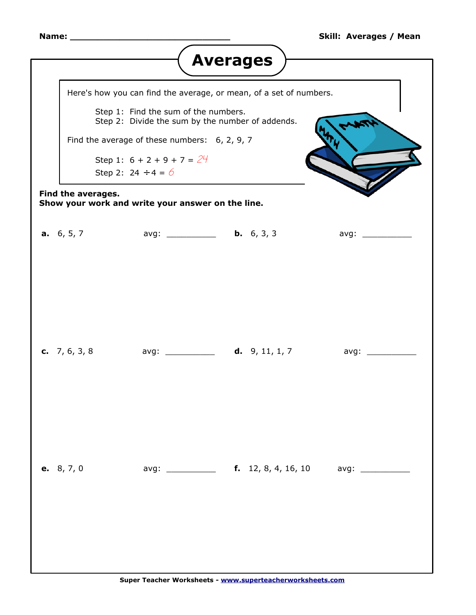<span id="page-0-0"></span>

| <b>Averages</b>                                                         |                                                                                          |                                                                           |  |  |                   |
|-------------------------------------------------------------------------|------------------------------------------------------------------------------------------|---------------------------------------------------------------------------|--|--|-------------------|
| Here's how you can find the average, or mean, of a set of numbers.      |                                                                                          |                                                                           |  |  |                   |
|                                                                         | Step 1: Find the sum of the numbers.<br>Step 2: Divide the sum by the number of addends. |                                                                           |  |  |                   |
|                                                                         | Find the average of these numbers: $6, 2, 9, 7$                                          |                                                                           |  |  |                   |
|                                                                         | Step 1: $6 + 2 + 9 + 7 = 24$                                                             |                                                                           |  |  |                   |
|                                                                         | Step 2: $24 \div 4 = 6$                                                                  |                                                                           |  |  |                   |
| Find the averages.<br>Show your work and write your answer on the line. |                                                                                          |                                                                           |  |  |                   |
|                                                                         |                                                                                          | <b>a.</b> 6, 5, 7 avg: <b>b.</b> 6, 3, 3                                  |  |  | avg: ____________ |
|                                                                         |                                                                                          |                                                                           |  |  |                   |
|                                                                         |                                                                                          |                                                                           |  |  |                   |
|                                                                         |                                                                                          |                                                                           |  |  |                   |
|                                                                         |                                                                                          | <b>c.</b> 7, 6, 3, 8 avg: ___________ <b>d.</b> 9, 11, 1, 7 avg: ________ |  |  |                   |
|                                                                         |                                                                                          |                                                                           |  |  |                   |
|                                                                         |                                                                                          |                                                                           |  |  |                   |
|                                                                         |                                                                                          |                                                                           |  |  |                   |
|                                                                         | e. 8, 7, 0                                                                               |                                                                           |  |  |                   |
|                                                                         |                                                                                          |                                                                           |  |  |                   |
|                                                                         |                                                                                          |                                                                           |  |  |                   |
|                                                                         |                                                                                          |                                                                           |  |  |                   |
|                                                                         |                                                                                          |                                                                           |  |  |                   |
|                                                                         |                                                                                          | Super Teacher Worksheets - www.superteacherworksheets.com                 |  |  |                   |